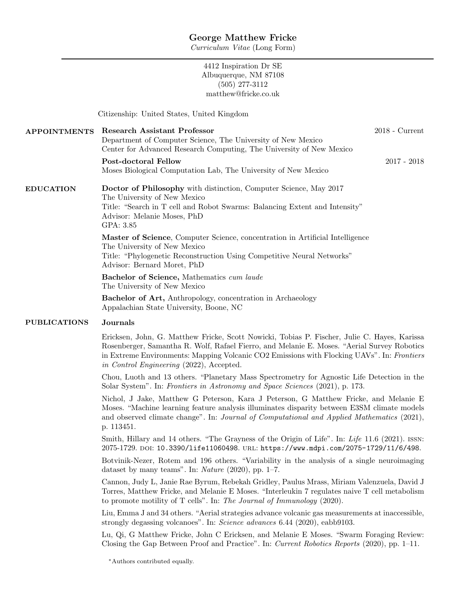Curriculum Vitae (Long Form)

4412 Inspiration Dr SE Albuquerque, NM 87108 (505) 277-3112 matthew@fricke.co.uk

Citizenship: United States, United Kingdom

| <b>APPOINTMENTS</b> | <b>Research Assistant Professor</b><br>Department of Computer Science, The University of New Mexico<br>Center for Advanced Research Computing, The University of New Mexico                                                        | $2018$ - Current |
|---------------------|------------------------------------------------------------------------------------------------------------------------------------------------------------------------------------------------------------------------------------|------------------|
|                     | Post-doctoral Fellow<br>Moses Biological Computation Lab, The University of New Mexico                                                                                                                                             | $2017 - 2018$    |
| <b>EDUCATION</b>    | <b>Doctor of Philosophy</b> with distinction, Computer Science, May 2017<br>The University of New Mexico<br>Title: "Search in T cell and Robot Swarms: Balancing Extent and Intensity"<br>Advisor: Melanie Moses, PhD<br>GPA: 3.85 |                  |
|                     | Master of Science, Computer Science, concentration in Artificial Intelligence<br>The University of New Mexico<br>Title: "Phylogenetic Reconstruction Using Competitive Neural Networks"<br>Advisor: Bernard Moret, PhD             |                  |
|                     | <b>Bachelor of Science, Mathematics cum laude</b><br>The University of New Mexico                                                                                                                                                  |                  |
|                     | <b>Bachelor of Art, Anthropology, concentration in Archaeology</b><br>Appalachian State University, Boone, NC                                                                                                                      |                  |
| <b>PUBLICATIONS</b> | Journals                                                                                                                                                                                                                           |                  |

Ericksen, John, G. Matthew Fricke, Scott Nowicki, Tobias P. Fischer, Julie C. Hayes, Karissa Rosenberger, Samantha R. Wolf, Rafael Fierro, and Melanie E. Moses. "Aerial Survey Robotics in Extreme Environments: Mapping Volcanic CO2 Emissions with Flocking UAVs". In: Frontiers in Control Engineering (2022), Accepted.

Chou, Luoth and 13 others. "Planetary Mass Spectrometry for Agnostic Life Detection in the Solar System". In: Frontiers in Astronomy and Space Sciences (2021), p. 173.

Nichol, J Jake, Matthew G Peterson, Kara J Peterson, G Matthew Fricke, and Melanie E Moses. "Machine learning feature analysis illuminates disparity between E3SM climate models and observed climate change". In: Journal of Computational and Applied Mathematics (2021), p. 113451.

Smith, Hillary and 14 others. "The Grayness of the Origin of Life". In: Life 11.6 (2021). ISSN: 2075-1729. doi: 10.3390/life11060498. url: https://www.mdpi.com/2075-1729/11/6/498.

Botvinik-Nezer, Rotem and 196 others. "Variability in the analysis of a single neuroimaging dataset by many teams". In: Nature (2020), pp. 1–7.

Cannon, Judy L, Janie Rae Byrum, Rebekah Gridley, Paulus Mrass, Miriam Valenzuela, David J Torres, Matthew Fricke, and Melanie E Moses. "Interleukin 7 regulates naive T cell metabolism to promote motility of T cells". In: The Journal of Immunology (2020).

Liu, Emma J and 34 others. "Aerial strategies advance volcanic gas measurements at inaccessible, strongly degassing volcanoes". In: Science advances 6.44 (2020), eabb9103.

Lu, Qi, G Matthew Fricke, John C Ericksen, and Melanie E Moses. "Swarm Foraging Review: Closing the Gap Between Proof and Practice". In: Current Robotics Reports (2020), pp. 1–11.

<sup>∗</sup>Authors contributed equally.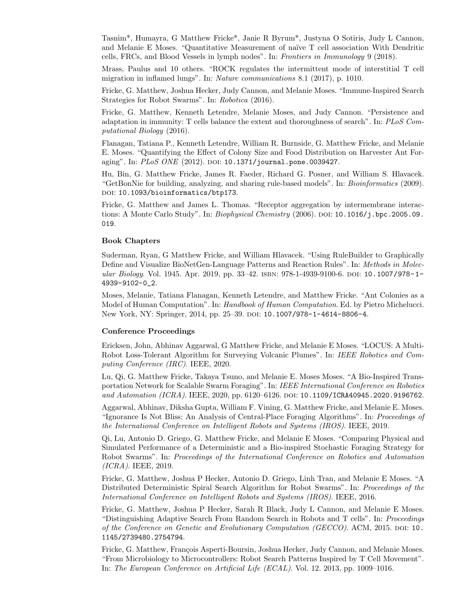Tasnim\*, Humayra, G Matthew Fricke\*, Janie R Byrum\*, Justyna O Sotiris, Judy L Cannon, and Melanie E Moses. "Quantitative Measurement of naïve T cell association With Dendritic cells, FRCs, and Blood Vessels in lymph nodes". In: Frontiers in Immunology 9 (2018).

Mrass, Paulus and 10 others. "ROCK regulates the intermittent mode of interstitial T cell migration in inflamed lungs". In: Nature communications 8.1 (2017), p. 1010.

Fricke, G. Matthew, Joshua Hecker, Judy Cannon, and Melanie Moses. "Immune-Inspired Search Strategies for Robot Swarms". In: Robotica (2016).

Fricke, G. Matthew, Kenneth Letendre, Melanie Moses, and Judy Cannon. "Persistence and adaptation in immunity: T cells balance the extent and thoroughness of search". In: PLoS Computational Biology (2016).

Flanagan, Tatiana P., Kenneth Letendre, William R. Burnside, G. Matthew Fricke, and Melanie E. Moses. "Quantifying the Effect of Colony Size and Food Distribution on Harvester Ant Foraging". In: PLoS ONE (2012). DOI: 10.1371/journal.pone.0039427.

Hu, Bin, G. Matthew Fricke, James R. Faeder, Richard G. Posner, and William S. Hlavacek. "GetBonNie for building, analyzing, and sharing rule-based models". In: Bioinformatics (2009). DOI: 10.1093/bioinformatics/btp173.

Fricke, G. Matthew and James L. Thomas. "Receptor aggregation by intermembrane interactions: A Monte Carlo Study". In: *Biophysical Chemistry* (2006). DOI: 10.1016/j.bpc.2005.09. 019.

#### Book Chapters

Suderman, Ryan, G Matthew Fricke, and William Hlavacek. "Using RuleBuilder to Graphically Define and Visualize BioNetGen-Language Patterns and Reaction Rules". In: Methods in Molecular Biology. Vol. 1945. Apr. 2019, pp. 33–42. isbn: 978-1-4939-9100-6. doi: 10.1007/978-1- 4939-9102-0\_2.

Moses, Melanie, Tatiana Flanagan, Kenneth Letendre, and Matthew Fricke. "Ant Colonies as a Model of Human Computation". In: Handbook of Human Computation. Ed. by Pietro Michelucci. New York, NY: Springer, 2014, pp. 25-39. DOI: 10.1007/978-1-4614-8806-4.

#### Conference Proceedings

Ericksen, John, Abhinav Aggarwal, G Matthew Fricke, and Melanie E Moses. "LOCUS: A Multi-Robot Loss-Tolerant Algorithm for Surveying Volcanic Plumes". In: IEEE Robotics and Computing Conference (IRC). IEEE, 2020.

Lu, Qi, G. Matthew Fricke, Takaya Tsuno, and Melanie E. Moses Moses. "A Bio-Inspired Transportation Network for Scalable Swarm Foraging". In: IEEE International Conference on Robotics and Automation (ICRA). IEEE, 2020, pp. 6120-6126. poi: 10.1109/ICRA40945.2020.9196762.

Aggarwal, Abhinav, Diksha Gupta, William F. Vining, G. Matthew Fricke, and Melanie E. Moses. "Ignorance Is Not Bliss: An Analysis of Central-Place Foraging Algorithms". In: Proceedings of the International Conference on Intelligent Robots and Systems (IROS). IEEE, 2019.

Qi, Lu, Antonio D. Griego, G. Matthew Fricke, and Melanie E Moses. "Comparing Physical and Simulated Performance of a Deterministic and a Bio-inspired Stochastic Foraging Strategy for Robot Swarms". In: Proceedings of the International Conference on Robotics and Automation (ICRA). IEEE, 2019.

Fricke, G. Matthew, Joshua P Hecker, Antonio D. Griego, Linh Tran, and Melanie E Moses. "A Distributed Deterministic Spiral Search Algorithm for Robot Swarms". In: Proceedings of the International Conference on Intelligent Robots and Systems (IROS). IEEE, 2016.

Fricke, G. Matthew, Joshua P Hecker, Sarah R Black, Judy L Cannon, and Melanie E Moses. "Distinguishing Adaptive Search From Random Search in Robots and T cells". In: Proceedings of the Conference on Genetic and Evolutionary Computation (GECCO). ACM, 2015. DOI: 10. 1145/2739480.2754794.

Fricke, G. Matthew, François Asperti-Boursin, Joshua Hecker, Judy Cannon, and Melanie Moses. "From Microbiology to Microcontrollers: Robot Search Patterns Inspired by T Cell Movement". In: The European Conference on Artificial Life (ECAL). Vol. 12. 2013, pp. 1009–1016.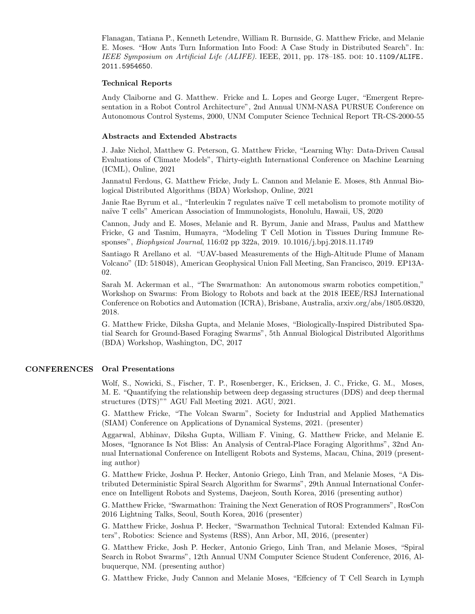Flanagan, Tatiana P., Kenneth Letendre, William R. Burnside, G. Matthew Fricke, and Melanie E. Moses. "How Ants Turn Information Into Food: A Case Study in Distributed Search". In: IEEE Symposium on Artificial Life (ALIFE). IEEE, 2011, pp. 178–185. doi: 10.1109/ALIFE. 2011.5954650.

## Technical Reports

Andy Claiborne and G. Matthew. Fricke and L. Lopes and George Luger, "Emergent Representation in a Robot Control Architecture", 2nd Annual UNM-NASA PURSUE Conference on Autonomous Control Systems, 2000, UNM Computer Science Technical Report TR-CS-2000-55

#### Abstracts and Extended Abstracts

J. Jake Nichol, Matthew G. Peterson, G. Matthew Fricke, "Learning Why: Data-Driven Causal Evaluations of Climate Models", Thirty-eighth International Conference on Machine Learning (ICML), Online, 2021

Jannatul Ferdous, G. Matthew Fricke, Judy L. Cannon and Melanie E. Moses, 8th Annual Biological Distributed Algorithms (BDA) Workshop, Online, 2021

Janie Rae Byrum et al., "Interleukin 7 regulates naïve T cell metabolism to promote motility of naïve T cells" American Association of Immunologists, Honolulu, Hawaii, US, 2020

Cannon, Judy and E. Moses, Melanie and R. Byrum, Janie and Mrass, Paulus and Matthew Fricke, G and Tasnim, Humayra, "Modeling T Cell Motion in Tissues During Immune Responses", Biophysical Journal, 116:02 pp 322a, 2019. 10.1016/j.bpj.2018.11.1749

Santiago R Arellano et al. "UAV-based Measurements of the High-Altitude Plume of Manam Volcano" (ID: 518048), American Geophysical Union Fall Meeting, San Francisco, 2019. EP13A-02.

Sarah M. Ackerman et al., "The Swarmathon: An autonomous swarm robotics competition," Workshop on Swarms: From Biology to Robots and back at the 2018 IEEE/RSJ International Conference on Robotics and Automation (ICRA), Brisbane, Australia, arxiv.org/abs/1805.08320, 2018.

G. Matthew Fricke, Diksha Gupta, and Melanie Moses, "Biologically-Inspired Distributed Spatial Search for Ground-Based Foraging Swarms", 5th Annual Biological Distributed Algorithms (BDA) Workshop, Washington, DC, 2017

# CONFERENCES Oral Presentations

Wolf, S., Nowicki, S., Fischer, T. P., Rosenberger, K., Ericksen, J. C., Fricke, G. M., Moses, M. E. "Quantifying the relationship between deep degassing structures (DDS) and deep thermal structures (DTS)"" AGU Fall Meeting 2021. AGU, 2021.

G. Matthew Fricke, "The Volcan Swarm", Society for Industrial and Applied Mathematics (SIAM) Conference on Applications of Dynamical Systems, 2021. (presenter)

Aggarwal, Abhinav, Diksha Gupta, William F. Vining, G. Matthew Fricke, and Melanie E. Moses, "Ignorance Is Not Bliss: An Analysis of Central-Place Foraging Algorithms", 32nd Annual International Conference on Intelligent Robots and Systems, Macau, China, 2019 (presenting author)

G. Matthew Fricke, Joshua P. Hecker, Antonio Griego, Linh Tran, and Melanie Moses, "A Distributed Deterministic Spiral Search Algorithm for Swarms", 29th Annual International Conference on Intelligent Robots and Systems, Daejeon, South Korea, 2016 (presenting author)

G. Matthew Fricke, "Swarmathon: Training the Next Generation of ROS Programmers", RosCon 2016 Lightning Talks, Seoul, South Korea, 2016 (presenter)

G. Matthew Fricke, Joshua P. Hecker, "Swarmathon Technical Tutoral: Extended Kalman Filters", Robotics: Science and Systems (RSS), Ann Arbor, MI, 2016, (presenter)

G. Matthew Fricke, Josh P. Hecker, Antonio Griego, Linh Tran, and Melanie Moses, "Spiral Search in Robot Swarms", 12th Annual UNM Computer Science Student Conference, 2016, Albuquerque, NM. (presenting author)

G. Matthew Fricke, Judy Cannon and Melanie Moses, "Effciency of T Cell Search in Lymph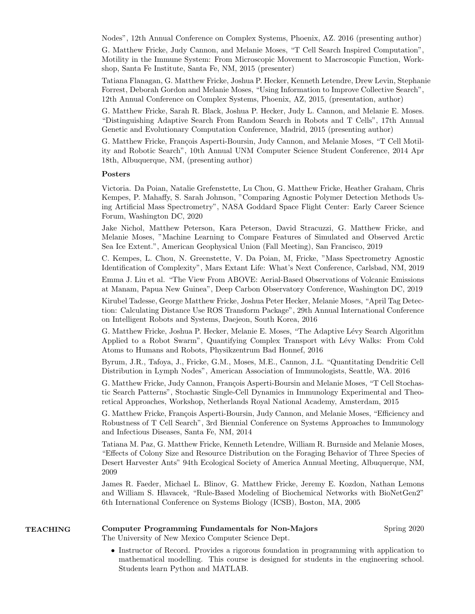Nodes", 12th Annual Conference on Complex Systems, Phoenix, AZ. 2016 (presenting author)

G. Matthew Fricke, Judy Cannon, and Melanie Moses, "T Cell Search Inspired Computation", Motility in the Immune System: From Microscopic Movement to Macroscopic Function, Workshop, Santa Fe Institute, Santa Fe, NM, 2015 (presenter)

Tatiana Flanagan, G. Matthew Fricke, Joshua P. Hecker, Kenneth Letendre, Drew Levin, Stephanie Forrest, Deborah Gordon and Melanie Moses, "Using Information to Improve Collective Search", 12th Annual Conference on Complex Systems, Phoenix, AZ, 2015, (presentation, author)

G. Matthew Fricke, Sarah R. Black, Joshua P. Hecker, Judy L. Cannon, and Melanie E. Moses. "Distinguishing Adaptive Search From Random Search in Robots and T Cells", 17th Annual Genetic and Evolutionary Computation Conference, Madrid, 2015 (presenting author)

G. Matthew Fricke, François Asperti-Boursin, Judy Cannon, and Melanie Moses, "T Cell Motility and Robotic Search", 10th Annual UNM Computer Science Student Conference, 2014 Apr 18th, Albuquerque, NM, (presenting author)

## Posters

Victoria. Da Poian, Natalie Grefenstette, Lu Chou, G. Matthew Fricke, Heather Graham, Chris Kempes, P. Mahaffy, S. Sarah Johnson, "Comparing Agnostic Polymer Detection Methods Using Artificial Mass Spectrometry", NASA Goddard Space Flight Center: Early Career Science Forum, Washington DC, 2020

Jake Nichol, Matthew Peterson, Kara Peterson, David Stracuzzi, G. Matthew Fricke, and Melanie Moses, "Machine Learning to Compare Features of Simulated and Observed Arctic Sea Ice Extent.", American Geophysical Union (Fall Meeting), San Francisco, 2019

C. Kempes, L. Chou, N. Greenstette, V. Da Poian, M, Fricke, "Mass Spectrometry Agnostic Identification of Complexity", Mars Extant Life: What's Next Conference, Carlsbad, NM, 2019

Emma J. Liu et al. "The View From ABOVE: Aerial-Based Observations of Volcanic Emissions at Manam, Papua New Guinea", Deep Carbon Observatory Conference, Washington DC, 2019

Kirubel Tadesse, George Matthew Fricke, Joshua Peter Hecker, Melanie Moses, "April Tag Detection: Calculating Distance Use ROS Transform Package", 29th Annual International Conference on Intelligent Robots and Systems, Daejeon, South Korea, 2016

G. Matthew Fricke, Joshua P. Hecker, Melanie E. Moses, "The Adaptive L´evy Search Algorithm Applied to a Robot Swarm", Quantifying Complex Transport with Lévy Walks: From Cold Atoms to Humans and Robots, Physikzentrum Bad Honnef, 2016

Byrum, J.R., Tafoya, J., Fricke, G.M., Moses, M.E., Cannon, J.L. "Quantitating Dendritic Cell Distribution in Lymph Nodes", American Association of Immunologists, Seattle, WA. 2016

G. Matthew Fricke, Judy Cannon, François Asperti-Boursin and Melanie Moses, "T Cell Stochastic Search Patterns", Stochastic Single-Cell Dynamics in Immunology Experimental and Theoretical Approaches, Workshop, Netherlands Royal National Academy, Amsterdam, 2015

G. Matthew Fricke, François Asperti-Boursin, Judy Cannon, and Melanie Moses, "Efficiency and Robustness of T Cell Search", 3rd Biennial Conference on Systems Approaches to Immunology and Infectious Diseases, Santa Fe, NM, 2014

Tatiana M. Paz, G. Matthew Fricke, Kenneth Letendre, William R. Burnside and Melanie Moses, "Effects of Colony Size and Resource Distribution on the Foraging Behavior of Three Species of Desert Harvester Ants" 94th Ecological Society of America Annual Meeting, Albuquerque, NM, 2009

James R. Faeder, Michael L. Blinov, G. Matthew Fricke, Jeremy E. Kozdon, Nathan Lemons and William S. Hlavacek, "Rule-Based Modeling of Biochemical Networks with BioNetGen2" 6th International Conference on Systems Biology (ICSB), Boston, MA, 2005

# TEACHING Computer Programming Fundamentals for Non-Majors Spring 2020

The University of New Mexico Computer Science Dept.

• Instructor of Record. Provides a rigorous foundation in programming with application to mathematical modelling. This course is designed for students in the engineering school. Students learn Python and MATLAB.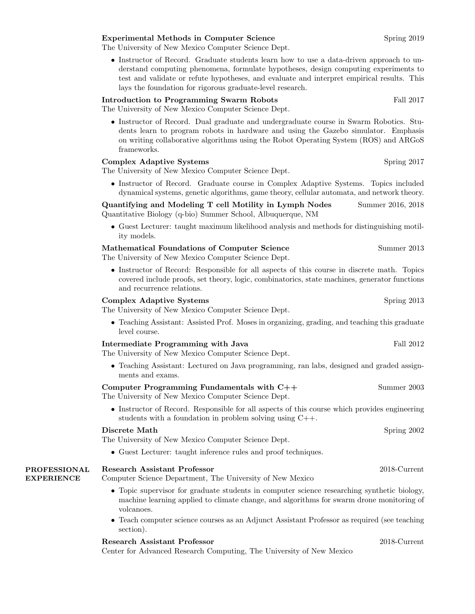## Experimental Methods in Computer Science Spring 2019

The University of New Mexico Computer Science Dept.

• Instructor of Record. Graduate students learn how to use a data-driven approach to understand computing phenomena, formulate hypotheses, design computing experiments to test and validate or refute hypotheses, and evaluate and interpret empirical results. This lays the foundation for rigorous graduate-level research.

## Introduction to Programming Swarm Robots Fall 2017

The University of New Mexico Computer Science Dept.

• Instructor of Record. Dual graduate and undergraduate course in Swarm Robotics. Students learn to program robots in hardware and using the Gazebo simulator. Emphasis on writing collaborative algorithms using the Robot Operating System (ROS) and ARGoS frameworks.

#### Complex Adaptive Systems Spring 2017

The University of New Mexico Computer Science Dept.

• Instructor of Record. Graduate course in Complex Adaptive Systems. Topics included dynamical systems, genetic algorithms, game theory, cellular automata, and network theory.

Quantifying and Modeling T cell Motility in Lymph Nodes Summer 2016, 2018 Quantitative Biology (q-bio) Summer School, Albuquerque, NM

• Guest Lecturer: taught maximum likelihood analysis and methods for distinguishing motility models.

#### Mathematical Foundations of Computer Science Summer 2013

The University of New Mexico Computer Science Dept.

• Instructor of Record: Responsible for all aspects of this course in discrete math. Topics covered include proofs, set theory, logic, combinatorics, state machines, generator functions and recurrence relations.

## Complex Adaptive Systems Spring 2013

The University of New Mexico Computer Science Dept.

• Teaching Assistant: Assisted Prof. Moses in organizing, grading, and teaching this graduate level course.

## Intermediate Programming with Java Fall 2012

The University of New Mexico Computer Science Dept.

• Teaching Assistant: Lectured on Java programming, ran labs, designed and graded assignments and exams.

| Computer Programming Fundamentals with $C++$        | Summer 2003 |
|-----------------------------------------------------|-------------|
| The University of New Mexico Computer Science Dept. |             |

• Instructor of Record. Responsible for all aspects of this course which provides engineering students with a foundation in problem solving using C++.

#### Discrete Math Spring 2002

The University of New Mexico Computer Science Dept.

• Guest Lecturer: taught inference rules and proof techniques.

#### PROFESSIONAL Research Assistant Professor 2018-Current

EXPERIENCE

## Computer Science Department, The University of New Mexico

- Topic supervisor for graduate students in computer science researching synthetic biology, machine learning applied to climate change, and algorithms for swarm drone monitoring of volcanoes.
- Teach computer science courses as an Adjunct Assistant Professor as required (see teaching section).

#### Research Assistant Professor 2018-Current

Center for Advanced Research Computing, The University of New Mexico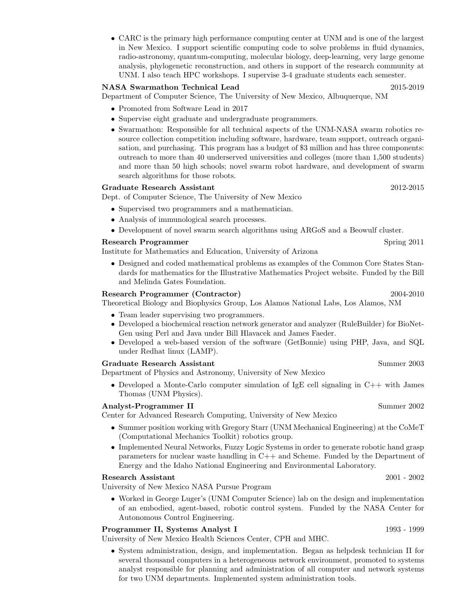• CARC is the primary high performance computing center at UNM and is one of the largest in New Mexico. I support scientific computing code to solve problems in fluid dynamics, radio-astronomy, quantum-computing, molecular biology, deep-learning, very large genome analysis, phylogenetic reconstruction, and others in support of the research community at UNM. I also teach HPC workshops. I supervise 3-4 graduate students each semester.

# NASA Swarmathon Technical Lead 2015-2019

Department of Computer Science, The University of New Mexico, Albuquerque, NM

- Promoted from Software Lead in 2017
- Supervise eight graduate and undergraduate programmers.
- Swarmathon: Responsible for all technical aspects of the UNM-NASA swarm robotics resource collection competition including software, hardware, team support, outreach organisation, and purchasing. This program has a budget of \$3 million and has three components: outreach to more than 40 underserved universities and colleges (more than 1,500 students) and more than 50 high schools; novel swarm robot hardware, and development of swarm search algorithms for those robots.

## Graduate Research Assistant 2012-2015

Dept. of Computer Science, The University of New Mexico

- Supervised two programmers and a mathematician.
- Analysis of immunological search processes.
- Development of novel swarm search algorithms using ARGoS and a Beowulf cluster.

#### Research Programmer Spring 2011

Institute for Mathematics and Education, University of Arizona

• Designed and coded mathematical problems as examples of the Common Core States Standards for mathematics for the Illustrative Mathematics Project website. Funded by the Bill and Melinda Gates Foundation.

#### Research Programmer (Contractor) 2004-2010

Theoretical Biology and Biophysics Group, Los Alamos National Labs, Los Alamos, NM

- Team leader supervising two programmers.
- Developed a biochemical reaction network generator and analyzer (RuleBuilder) for BioNet-Gen using Perl and Java under Bill Hlavacek and James Faeder.
- Developed a web-based version of the software (GetBonnie) using PHP, Java, and SQL under Redhat linux (LAMP).

#### Graduate Research Assistant Summer 2003

Department of Physics and Astronomy, University of New Mexico

• Developed a Monte-Carlo computer simulation of IgE cell signaling in  $C_{++}$  with James Thomas (UNM Physics).

#### Analyst-Programmer II Summer 2002

Center for Advanced Research Computing, University of New Mexico

- Summer position working with Gregory Starr (UNM Mechanical Engineering) at the CoMeT (Computational Mechanics Toolkit) robotics group.
- Implemented Neural Networks, Fuzzy Logic Systems in order to generate robotic hand grasp parameters for nuclear waste handling in C++ and Scheme. Funded by the Department of Energy and the Idaho National Engineering and Environmental Laboratory.

#### Research Assistant 2001 - 2002

University of New Mexico NASA Pursue Program

• Worked in George Luger's (UNM Computer Science) lab on the design and implementation of an embodied, agent-based, robotic control system. Funded by the NASA Center for Autonomous Control Engineering.

## Programmer II, Systems Analyst I 1993 - 1999

University of New Mexico Health Sciences Center, CPH and MHC.

• System administration, design, and implementation. Began as helpdesk technician II for several thousand computers in a heterogeneous network environment, promoted to systems analyst responsible for planning and administration of all computer and network systems for two UNM departments. Implemented system administration tools.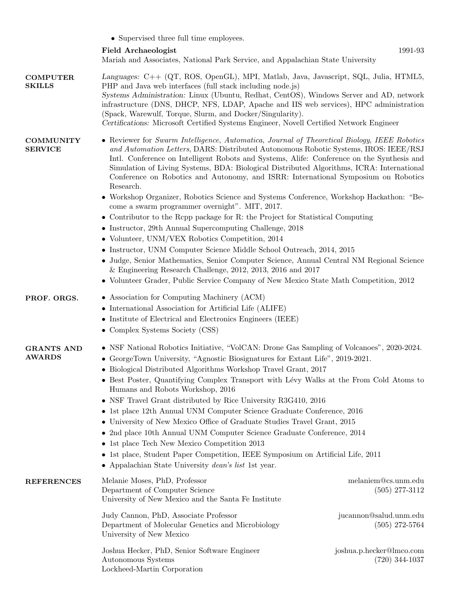|                                    | • Supervised three full time employees.                                                                                                                                                                                                                                                                                                                                                                                                                                                                                                                                                                                                                                                                                                                                                                                                                                                                                                                                                                                                                                                                                                                          |                                                                                       |  |
|------------------------------------|------------------------------------------------------------------------------------------------------------------------------------------------------------------------------------------------------------------------------------------------------------------------------------------------------------------------------------------------------------------------------------------------------------------------------------------------------------------------------------------------------------------------------------------------------------------------------------------------------------------------------------------------------------------------------------------------------------------------------------------------------------------------------------------------------------------------------------------------------------------------------------------------------------------------------------------------------------------------------------------------------------------------------------------------------------------------------------------------------------------------------------------------------------------|---------------------------------------------------------------------------------------|--|
|                                    | Field Archaeologist<br>Mariah and Associates, National Park Service, and Appalachian State University                                                                                                                                                                                                                                                                                                                                                                                                                                                                                                                                                                                                                                                                                                                                                                                                                                                                                                                                                                                                                                                            | 1991-93                                                                               |  |
| <b>COMPUTER</b><br><b>SKILLS</b>   | Languages: C++ (QT, ROS, OpenGL), MPI, Matlab, Java, Javascript, SQL, Julia, HTML5,<br>PHP and Java web interfaces (full stack including node.js)<br>Systems Administration: Linux (Ubuntu, Redhat, CentOS), Windows Server and AD, network<br>infrastructure (DNS, DHCP, NFS, LDAP, Apache and IIS web services), HPC administration<br>(Spack, Warewulf, Torque, Slurm, and Docker/Singularity).<br>Certifications: Microsoft Certified Systems Engineer, Novell Certified Network Engineer                                                                                                                                                                                                                                                                                                                                                                                                                                                                                                                                                                                                                                                                    |                                                                                       |  |
| <b>COMMUNITY</b><br><b>SERVICE</b> | • Reviewer for Swarm Intelligence, Automatica, Journal of Theoretical Biology, IEEE Robotics<br>and Automation Letters, DARS: Distributed Autonomous Robotic Systems, IROS: IEEE/RSJ<br>Intl. Conference on Intelligent Robots and Systems, Alife: Conference on the Synthesis and<br>Simulation of Living Systems, BDA: Biological Distributed Algorithms, ICRA: International<br>Conference on Robotics and Autonomy, and ISRR: International Symposium on Robotics<br>Research.<br>• Workshop Organizer, Robotics Science and Systems Conference, Workshop Hackathon: "Be-<br>come a swarm programmer overnight". MIT, 2017.<br>• Contributor to the Rcpp package for R: the Project for Statistical Computing<br>• Instructor, 29th Annual Supercomputing Challenge, 2018<br>• Volunteer, UNM/VEX Robotics Competition, 2014<br>• Instructor, UNM Computer Science Middle School Outreach, 2014, 2015<br>• Judge, Senior Mathematics, Senior Computer Science, Annual Central NM Regional Science<br>$\&$ Engineering Research Challenge, 2012, 2013, 2016 and 2017<br>• Volunteer Grader, Public Service Company of New Mexico State Math Competition, 2012 |                                                                                       |  |
| PROF. ORGS.                        | • Association for Computing Machinery (ACM)<br>$\bullet\,$ International Association for Artificial Life (ALIFE)<br>• Institute of Electrical and Electronics Engineers (IEEE)<br>• Complex Systems Society (CSS)                                                                                                                                                                                                                                                                                                                                                                                                                                                                                                                                                                                                                                                                                                                                                                                                                                                                                                                                                |                                                                                       |  |
| <b>GRANTS AND</b><br><b>AWARDS</b> | • NSF National Robotics Initiative, "VolCAN: Drone Gas Sampling of Volcanoes", 2020-2024.<br>GeorgeTown University, "Agnostic Biosignatures for Extant Life", 2019-2021.<br>• Biological Distributed Algorithms Workshop Travel Grant, 2017<br>• Best Poster, Quantifying Complex Transport with Lévy Walks at the From Cold Atoms to<br>Humans and Robots Workshop, 2016<br>• NSF Travel Grant distributed by Rice University R3G410, 2016<br>• 1st place 12th Annual UNM Computer Science Graduate Conference, 2016<br>• University of New Mexico Office of Graduate Studies Travel Grant, 2015<br>• 2nd place 10th Annual UNM Computer Science Graduate Conference, 2014<br>• 1st place Tech New Mexico Competition 2013<br>• 1st place, Student Paper Competition, IEEE Symposium on Artificial Life, 2011<br>• Appalachian State University <i>dean's list</i> 1st year.                                                                                                                                                                                                                                                                                    |                                                                                       |  |
| <b>REFERENCES</b>                  | Melanie Moses, PhD, Professor<br>Department of Computer Science<br>University of New Mexico and the Santa Fe Institute<br>Judy Cannon, PhD, Associate Professor<br>Department of Molecular Genetics and Microbiology                                                                                                                                                                                                                                                                                                                                                                                                                                                                                                                                                                                                                                                                                                                                                                                                                                                                                                                                             | melaniem@cs.unm.edu<br>$(505)$ 277-3112<br>jucannon@salud.unm.edu<br>$(505)$ 272-5764 |  |
|                                    | University of New Mexico<br>Joshua Hecker, PhD, Senior Software Engineer<br>Autonomous Systems<br>Lockheed-Martin Corporation                                                                                                                                                                                                                                                                                                                                                                                                                                                                                                                                                                                                                                                                                                                                                                                                                                                                                                                                                                                                                                    | joshua.p.hecker@lmco.com<br>$(720)$ 344-1037                                          |  |